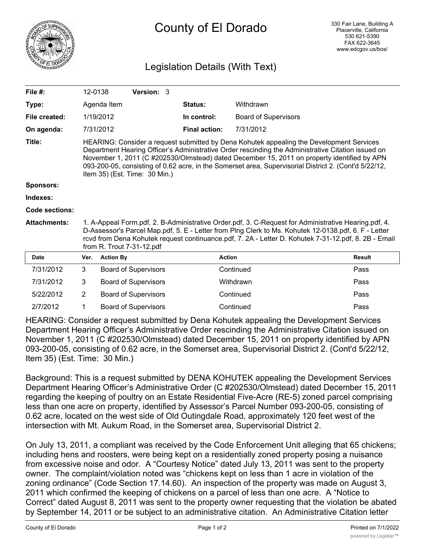

## County of El Dorado

## Legislation Details (With Text)

| File $#$ :          |                                                                                                                                                                                                                                                                                                                                                                                                                                         | 12-0138          | Version: 3                  |  |                      |                             |               |
|---------------------|-----------------------------------------------------------------------------------------------------------------------------------------------------------------------------------------------------------------------------------------------------------------------------------------------------------------------------------------------------------------------------------------------------------------------------------------|------------------|-----------------------------|--|----------------------|-----------------------------|---------------|
| Type:               |                                                                                                                                                                                                                                                                                                                                                                                                                                         | Agenda Item      |                             |  | Status:              | Withdrawn                   |               |
| File created:       |                                                                                                                                                                                                                                                                                                                                                                                                                                         | 1/19/2012        |                             |  | In control:          | <b>Board of Supervisors</b> |               |
| On agenda:          |                                                                                                                                                                                                                                                                                                                                                                                                                                         | 7/31/2012        |                             |  | <b>Final action:</b> | 7/31/2012                   |               |
| Title:              | HEARING: Consider a request submitted by Dena Kohutek appealing the Development Services<br>Department Hearing Officer's Administrative Order rescinding the Administrative Citation issued on<br>November 1, 2011 (C #202530/Olmstead) dated December 15, 2011 on property identified by APN<br>093-200-05, consisting of 0.62 acre, in the Somerset area, Supervisorial District 2. (Cont'd 5/22/12,<br>Item 35) (Est. Time: 30 Min.) |                  |                             |  |                      |                             |               |
| <b>Sponsors:</b>    |                                                                                                                                                                                                                                                                                                                                                                                                                                         |                  |                             |  |                      |                             |               |
| Indexes:            |                                                                                                                                                                                                                                                                                                                                                                                                                                         |                  |                             |  |                      |                             |               |
| Code sections:      |                                                                                                                                                                                                                                                                                                                                                                                                                                         |                  |                             |  |                      |                             |               |
| <b>Attachments:</b> | 1. A-Appeal Form.pdf, 2. B-Administrative Order.pdf, 3. C-Request for Administrative Hearing.pdf, 4.<br>D-Assessor's Parcel Map.pdf, 5. E - Letter from Plng Clerk to Ms. Kohutek 12-0138.pdf, 6. F - Letter<br>rcvd from Dena Kohutek request continuance.pdf, 7. 2A - Letter D. Kohutek 7-31-12.pdf, 8. 2B - Email<br>from R. Trout 7-31-12.pdf                                                                                       |                  |                             |  |                      |                             |               |
| <b>Date</b>         | Ver.                                                                                                                                                                                                                                                                                                                                                                                                                                    | <b>Action By</b> |                             |  | <b>Action</b>        |                             | <b>Result</b> |
| 7/31/2012           | 3                                                                                                                                                                                                                                                                                                                                                                                                                                       |                  | <b>Board of Supervisors</b> |  |                      | Continued                   | Pass          |
| 7/31/2012           | 3                                                                                                                                                                                                                                                                                                                                                                                                                                       |                  | <b>Board of Supervisors</b> |  |                      | Withdrawn                   | Pass          |
| 5/22/2012           | 2                                                                                                                                                                                                                                                                                                                                                                                                                                       |                  | <b>Board of Supervisors</b> |  |                      | Continued                   | Pass          |

2/7/2012 1 Board of Supervisors Continued Pass HEARING: Consider a request submitted by Dena Kohutek appealing the Development Services Department Hearing Officer's Administrative Order rescinding the Administrative Citation issued on November 1, 2011 (C #202530/Olmstead) dated December 15, 2011 on property identified by APN 093-200-05, consisting of 0.62 acre, in the Somerset area, Supervisorial District 2. (Cont'd 5/22/12, Item 35) (Est. Time: 30 Min.)

Background: This is a request submitted by DENA KOHUTEK appealing the Development Services Department Hearing Officer's Administrative Order (C #202530/Olmstead) dated December 15, 2011 regarding the keeping of poultry on an Estate Residential Five-Acre (RE-5) zoned parcel comprising less than one acre on property, identified by Assessor's Parcel Number 093-200-05, consisting of 0.62 acre, located on the west side of Old Outingdale Road, approximately 120 feet west of the intersection with Mt. Aukum Road, in the Somerset area, Supervisorial District 2.

On July 13, 2011, a compliant was received by the Code Enforcement Unit alleging that 65 chickens; including hens and roosters, were being kept on a residentially zoned property posing a nuisance from excessive noise and odor. A "Courtesy Notice" dated July 13, 2011 was sent to the property owner. The complaint/violation noted was "chickens kept on less than 1 acre in violation of the zoning ordinance" (Code Section 17.14.60). An inspection of the property was made on August 3, 2011 which confirmed the keeping of chickens on a parcel of less than one acre. A "Notice to Correct" dated August 8, 2011 was sent to the property owner requesting that the violation be abated by September 14, 2011 or be subject to an administrative citation. An Administrative Citation letter